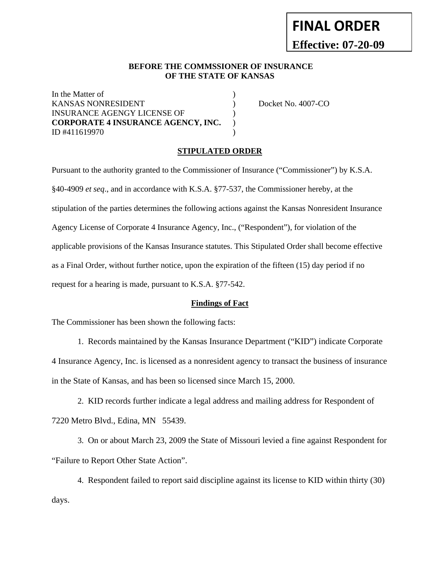# **FINAL ORDER Effective: 07-20-09**

## **BEFORE THE COMMSSIONER OF INSURANCE OF THE STATE OF KANSAS**

In the Matter of  $\hspace{1.5cm}$ KANSAS NONRESIDENT  $\qquad \qquad$  Docket No. 4007-CO INSURANCE AGENGY LICENSE OF ) **CORPORATE 4 INSURANCE AGENCY, INC.** ) ID #411619970 )

### **STIPULATED ORDER**

Pursuant to the authority granted to the Commissioner of Insurance ("Commissioner") by K.S.A. §40-4909 *et seq*., and in accordance with K.S.A. §77-537, the Commissioner hereby, at the stipulation of the parties determines the following actions against the Kansas Nonresident Insurance Agency License of Corporate 4 Insurance Agency, Inc., ("Respondent"), for violation of the applicable provisions of the Kansas Insurance statutes. This Stipulated Order shall become effective as a Final Order, without further notice, upon the expiration of the fifteen (15) day period if no request for a hearing is made, pursuant to K.S.A. §77-542.

#### **Findings of Fact**

The Commissioner has been shown the following facts:

 1. Records maintained by the Kansas Insurance Department ("KID") indicate Corporate 4 Insurance Agency, Inc. is licensed as a nonresident agency to transact the business of insurance in the State of Kansas, and has been so licensed since March 15, 2000.

 2. KID records further indicate a legal address and mailing address for Respondent of 7220 Metro Blvd., Edina, MN 55439.

 3. On or about March 23, 2009 the State of Missouri levied a fine against Respondent for "Failure to Report Other State Action".

 4. Respondent failed to report said discipline against its license to KID within thirty (30) days.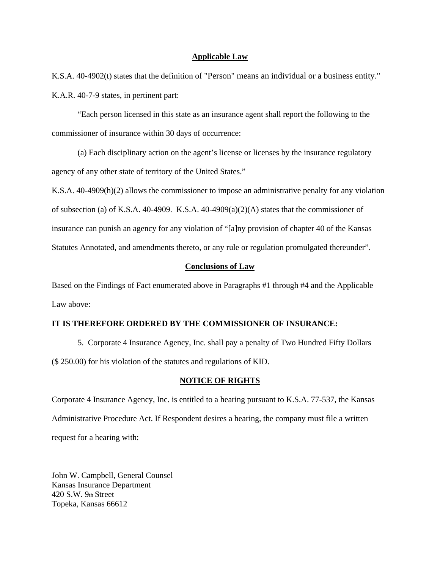### **Applicable Law**

K.S.A. 40-4902(t) states that the definition of "Person" means an individual or a business entity." K.A.R. 40-7-9 states, in pertinent part:

 "Each person licensed in this state as an insurance agent shall report the following to the commissioner of insurance within 30 days of occurrence:

 (a) Each disciplinary action on the agent's license or licenses by the insurance regulatory agency of any other state of territory of the United States."

K.S.A. 40-4909(h)(2) allows the commissioner to impose an administrative penalty for any violation of subsection (a) of K.S.A. 40-4909. K.S.A. 40-4909(a)(2)(A) states that the commissioner of insurance can punish an agency for any violation of "[a]ny provision of chapter 40 of the Kansas Statutes Annotated, and amendments thereto, or any rule or regulation promulgated thereunder".

## **Conclusions of Law**

Based on the Findings of Fact enumerated above in Paragraphs #1 through #4 and the Applicable Law above:

## **IT IS THEREFORE ORDERED BY THE COMMISSIONER OF INSURANCE:**

 5. Corporate 4 Insurance Agency, Inc. shall pay a penalty of Two Hundred Fifty Dollars (\$ 250.00) for his violation of the statutes and regulations of KID.

#### **NOTICE OF RIGHTS**

Corporate 4 Insurance Agency, Inc. is entitled to a hearing pursuant to K.S.A. 77-537, the Kansas Administrative Procedure Act. If Respondent desires a hearing, the company must file a written request for a hearing with:

John W. Campbell, General Counsel Kansas Insurance Department 420 S.W. 9th Street Topeka, Kansas 66612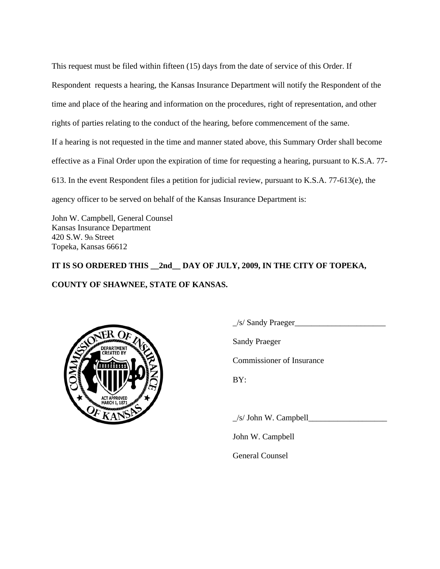This request must be filed within fifteen (15) days from the date of service of this Order. If Respondent requests a hearing, the Kansas Insurance Department will notify the Respondent of the time and place of the hearing and information on the procedures, right of representation, and other rights of parties relating to the conduct of the hearing, before commencement of the same. If a hearing is not requested in the time and manner stated above, this Summary Order shall become effective as a Final Order upon the expiration of time for requesting a hearing, pursuant to K.S.A. 77- 613. In the event Respondent files a petition for judicial review, pursuant to K.S.A. 77-613(e), the agency officer to be served on behalf of the Kansas Insurance Department is:

John W. Campbell, General Counsel Kansas Insurance Department 420 S.W. 9th Street Topeka, Kansas 66612

**IT IS SO ORDERED THIS \_\_2nd\_\_ DAY OF JULY, 2009, IN THE CITY OF TOPEKA, COUNTY OF SHAWNEE, STATE OF KANSAS.** 



 $\angle$ /s/ Sandy Praeger $\angle$ 

Sandy Praeger

Commissioner of Insurance

BY:

 $\angle$ s/ John W. Campbell $\angle$ 

John W. Campbell

General Counsel